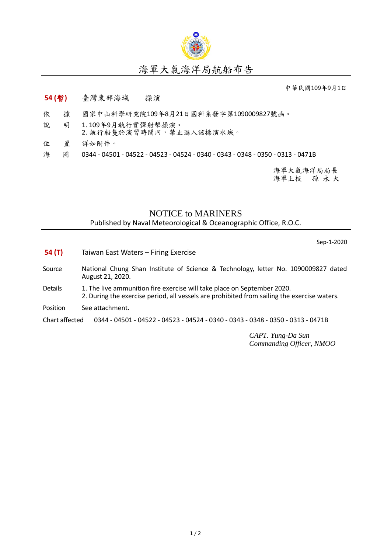

## 海軍大氣海洋局航船布告

中華民國109年9月1日

## **54 (**暫**)** 臺灣東部海域 - 操演

- 依 據 國家中山科學研究院109年8月21日國科系發字第1090009827號函。
- 說 明 1. 109年9月執行實彈射擊操演。 2. 航行船隻於演習時間內,禁止進入該操演水域。
- 位 置 詳如附件。
- 海 圖 0344 04501 04522 04523 04524 0340 0343 0348 0350 0313 0471B

海軍大氣海洋局局長 海軍上校 孫 永 大

## NOTICE to MARINERS Published by Naval Meteorological & Oceanographic Office, R.O.C.

Sep-1-2020

- **54 (T)** Taiwan East Waters Firing Exercise
- Source National Chung Shan Institute of Science & Technology, letter No. 1090009827 dated August 21, 2020.
- Details 1. The live ammunition fire exercise will take place on September 2020. 2. During the exercise period, all vessels are prohibited from sailing the exercise waters.
- Position See attachment.

Chart affected 0344 - 04501 - 04522 - 04523 - 04524 - 0340 - 0343 - 0348 - 0350 - 0313 - 0471B

*CAPT. Yung-Da Sun Commanding Officer, NMOO*